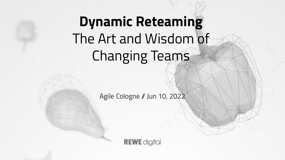### **Dynamic Reteaming**  The Art and Wisdom of Changing Teams

Agile Cologne // Jun 10, 2022

**REWE** digital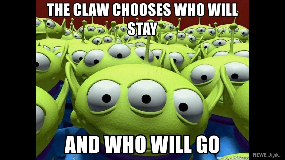

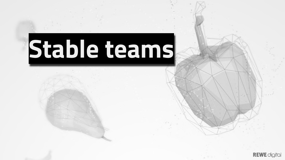### **Stable teams**

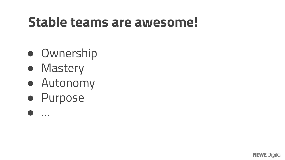### **Stable teams are awesome!**

- Ownership
- Mastery
- Autonomy
- Purpose



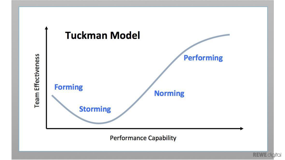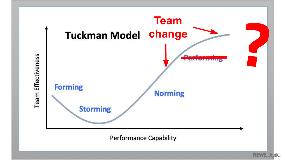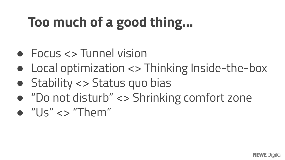### **Too much of a good thing…**

- Focus <> Tunnel vision
- Local optimization <> Thinking Inside-the-box
- Stability <> Status quo bias
- "Do not disturb" <> Shrinking comfort zone
- $\bullet$  "Us" <> "Them"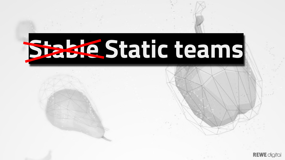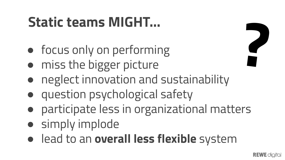- focus only on performing **Static teams MIGHT…**<br>• focus only on performing<br>• miss the bigger picture
- miss the bigger picture
- neglect innovation and sustainability
- question psychological safety
- participate less in organizational matters
- simply implode
- lead to an **overall less flexible** system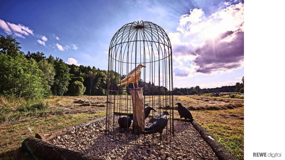

**REWE** digital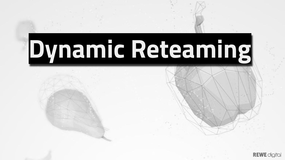

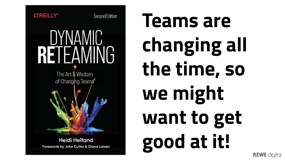

**Second Edition** 

# REIE

The Art & Wisdom

of Changing Teams

**Heidi Helfand** Forewords by John Cutler & Diana Larsen

### **Teams are** changing all the time, so we might want to get good at it!

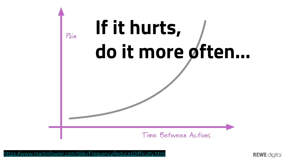

/www.martinfowler.com/bliki/FrequencyReducesDifficulty.ht

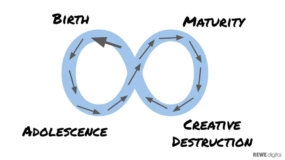

#### Adolescence

### CREATIVE DESTRUCTION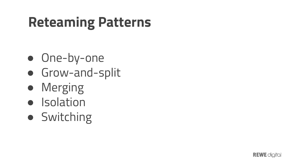### **Reteaming Patterns**

- One-by-one
- Grow-and-split
- Merging
- Isolation
- Switching

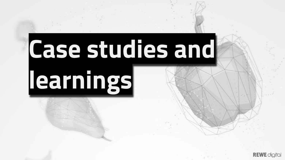## **Case studies and learnings**

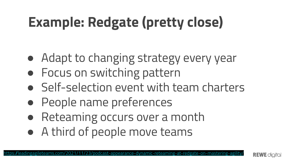### **Example: Redgate (pretty close)**

- Adapt to changing strategy every year
- Focus on switching pattern
- Self-selection event with team charters
- People name preferences
- Reteaming occurs over a month
- A third of people move teams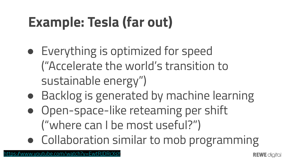### **Example: Tesla (far out)**

- Everything is optimized for speed ("Accelerate the world's transition to sustainable energy")
- Backlog is generated by machine learning
- Open-space-like reteaming per shift ("where can I be most useful?")
- Collaboration similar to mob programming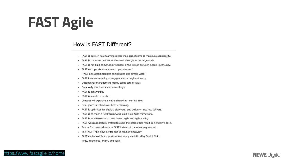### **FAST Agile**

#### How is FAST Different?

- FAST is built on fluid teaming rather than static teams to maximise adaptability.
- FAST is the same process at the small through to the large scale.
- FAST is not built on Scrum or Kanban. FAST is built on Open Space Technology.
- FAST can operate as a pure complex system.<sup>3</sup>

(FAST also accommodates complicated and simple work.)

- FAST increases employee engagement through autonomy.
- Dependency management mostly takes care of itself.
- Drastically less time spent in meetings.
- FAST is lightweight.
- FAST is simple to master.  $\bullet$
- Constrained expertise is easily shared as no static silos.
- Emergence is valued over heavy planning.  $\bullet$
- FAST is optimised for design, discovery, and delivery not just delivery.
- FAST is as much a Teal<sup>4</sup> framework as it is an Agile framework.
- FAST is an alternative to complicated agile and agile scaling.
- FAST was purposefully crafted to avoid the pitfalls that result in ineffective agile.
- Teams form around work in FAST instead of the other way around.
- The FAST Tribe plays a vital part in product discovery.
- FAST enables all four aspects of Autonomy as defined by Daniel Pink -

Time, Technique, Team, and Task.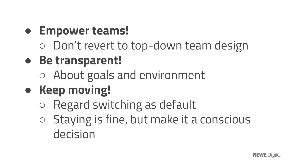#### **● Empower teams!**

○ Don't revert to top-down team design

### **● Be transparent!**

○ About goals and environment

### **● Keep moving!**

- Regard switching as default
- Staying is fine, but make it a conscious decision